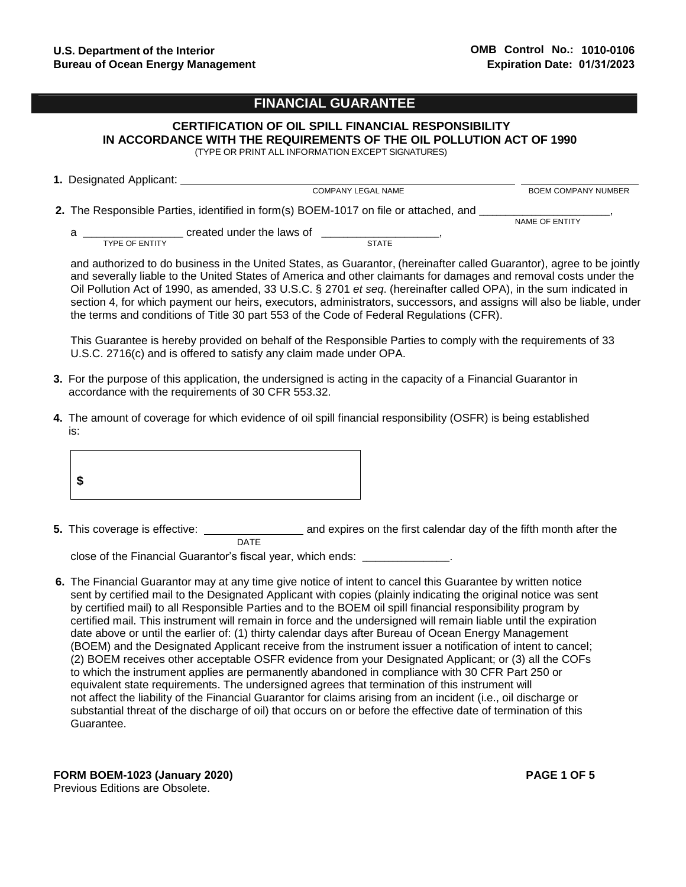# **FINANCIAL GUARANTEE**

# **CERTIFICATION OF OIL SPILL FINANCIAL RESPONSIBILITY IN ACCORDANCE WITH THE REQUIREMENTS OF THE OIL POLLUTION ACT OF 1990**

(TYPE OR PRINT ALL INFORMATION EXCEPT SIGNATURES)

| 1. Designated Applicant:   |                                                                                                                                   |                            |
|----------------------------|-----------------------------------------------------------------------------------------------------------------------------------|----------------------------|
|                            | <b>COMPANY LEGAL NAME</b>                                                                                                         | <b>BOEM COMPANY NUMBER</b> |
| а<br><b>TYPE OF ENTITY</b> | 2. The Responsible Parties, identified in form(s) BOEM-1017 on file or attached, and<br>created under the laws of<br><b>STATE</b> | NAME OF ENTITY             |

and authorized to do business in the United States, as Guarantor, (hereinafter called Guarantor), agree to be jointly and severally liable to the United States of America and other claimants for damages and removal costs under the Oil Pollution Act of 1990, as amended, [33 U.S.C. § 2701](http://www.law.cornell.edu/uscode/text/33/chapter-40/subchapter-I) *et seq*. (hereinafter called OPA), in the sum indicated in section 4, for which payment our heirs, executors, administrators, successors, and assigns will also be liable, under the terms and conditions of Title 30 part 553 of the Code of Federal Regulations (CFR).

This Guarantee is hereby provided on behalf of the Responsible Parties to comply with the requirements of 33 U.S.C. 2716(c) and is offered to satisfy any claim made under OPA.

- **3.** For the purpose of this application, the undersigned is acting in the capacity of a Financial Guarantor in accordance with the requirements of 30 CFR 553.32.
- **4.** The amount of coverage for which evidence of oil spill financial responsibility (OSFR) is being established is:



**5.** This coverage is effective: and expires on the first calendar day of the fifth month after the DATE

close of the Financial Guarantor's fiscal year, which ends:

**6.** The Financial Guarantor may at any time give notice of intent to cancel this Guarantee by written notice sent by certified mail to the Designated Applicant with copies (plainly indicating the original notice was sent by certified mail) to all Responsible Parties and to the BOEM oil spill financial responsibility program by certified mail. This instrument will remain in force and the undersigned will remain liable until the expiration date above or until the earlier of: (1) thirty calendar days after Bureau of Ocean Energy Management (BOEM) and the Designated Applicant receive from the instrument issuer a notification of intent to cancel; (2) BOEM receives other acceptable OSFR evidence from your Designated Applicant; or (3) all the COFs to which the instrument applies are permanently abandoned in compliance with 30 CFR Part 250 or equivalent state requirements. The undersigned agrees that termination of this instrument will not affect the liability of the Financial Guarantor for claims arising from an incident (i.e., oil discharge or substantial threat of the discharge of oil) that occurs on or before the effective date of termination of this Guarantee.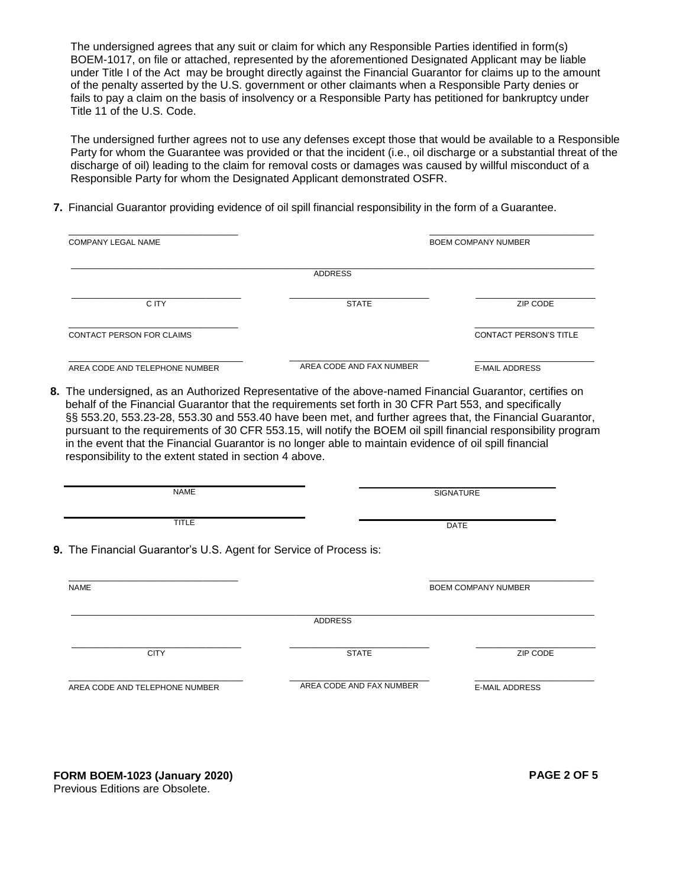The undersigned agrees that any suit or claim for which any Responsible Parties identified in form(s) BOEM-1017, on file or attached, represented by the aforementioned Designated Applicant may be liable under Title I of the Act may be brought directly against the Financial Guarantor for claims up to the amount of the penalty asserted by the U.S. government or other claimants when a Responsible Party denies or fails to pay a claim on the basis of insolvency or a Responsible Party has petitioned for bankruptcy under Title 11 of the U.S. Code.

The undersigned further agrees not to use any defenses except those that would be available to a Responsible Party for whom the Guarantee was provided or that the incident (i.e., oil discharge or a substantial threat of the discharge of oil) leading to the claim for removal costs or damages was caused by willful misconduct of a Responsible Party for whom the Designated Applicant demonstrated OSFR.

**7.** Financial Guarantor providing evidence of oil spill financial responsibility in the form of a Guarantee.

| <b>COMPANY LEGAL NAME</b>                                          | <b>BOEM COMPANY NUMBER</b>                                                                                                                                                                                                                                                                                                                                                                       |                               |  |  |  |
|--------------------------------------------------------------------|--------------------------------------------------------------------------------------------------------------------------------------------------------------------------------------------------------------------------------------------------------------------------------------------------------------------------------------------------------------------------------------------------|-------------------------------|--|--|--|
| <b>ADDRESS</b>                                                     |                                                                                                                                                                                                                                                                                                                                                                                                  |                               |  |  |  |
| C ITY                                                              | <b>STATE</b>                                                                                                                                                                                                                                                                                                                                                                                     | ZIP CODE                      |  |  |  |
| CONTACT PERSON FOR CLAIMS                                          |                                                                                                                                                                                                                                                                                                                                                                                                  | <b>CONTACT PERSON'S TITLE</b> |  |  |  |
| AREA CODE AND TELEPHONE NUMBER                                     | AREA CODE AND FAX NUMBER                                                                                                                                                                                                                                                                                                                                                                         | <b>E-MAIL ADDRESS</b>         |  |  |  |
|                                                                    | §§ 553.20, 553.23-28, 553.30 and 553.40 have been met, and further agrees that, the Financial Guarantor,<br>pursuant to the requirements of 30 CFR 553.15, will notify the BOEM oil spill financial responsibility program<br>in the event that the Financial Guarantor is no longer able to maintain evidence of oil spill financial<br>responsibility to the extent stated in section 4 above. |                               |  |  |  |
|                                                                    |                                                                                                                                                                                                                                                                                                                                                                                                  |                               |  |  |  |
| <b>NAME</b>                                                        |                                                                                                                                                                                                                                                                                                                                                                                                  | <b>SIGNATURE</b>              |  |  |  |
| <b>TITLE</b>                                                       |                                                                                                                                                                                                                                                                                                                                                                                                  | DATE                          |  |  |  |
| 9. The Financial Guarantor's U.S. Agent for Service of Process is: |                                                                                                                                                                                                                                                                                                                                                                                                  |                               |  |  |  |
| <b>NAME</b>                                                        |                                                                                                                                                                                                                                                                                                                                                                                                  | <b>BOEM COMPANY NUMBER</b>    |  |  |  |
|                                                                    | <b>ADDRESS</b>                                                                                                                                                                                                                                                                                                                                                                                   |                               |  |  |  |
| <b>CITY</b>                                                        | <b>STATE</b>                                                                                                                                                                                                                                                                                                                                                                                     | ZIP CODE                      |  |  |  |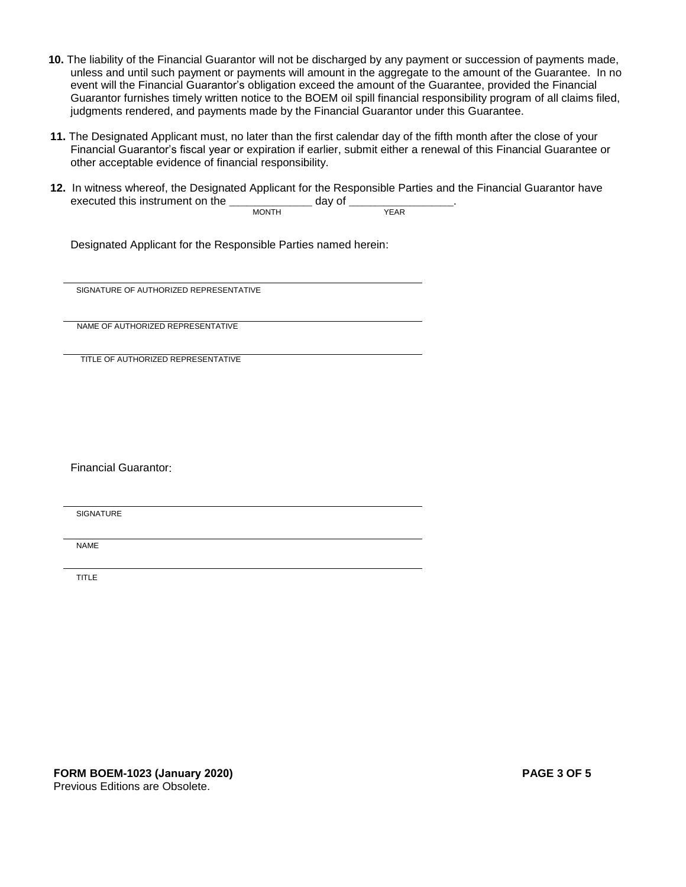- **10.** The liability of the Financial Guarantor will not be discharged by any payment or succession of payments made, unless and until such payment or payments will amount in the aggregate to the amount of the Guarantee. In no event will the Financial Guarantor's obligation exceed the amount of the Guarantee, provided the Financial Guarantor furnishes timely written notice to the BOEM oil spill financial responsibility program of all claims filed, judgments rendered, and payments made by the Financial Guarantor under this Guarantee.
- **11.** The Designated Applicant must, no later than the first calendar day of the fifth month after the close of your Financial Guarantor's fiscal year or expiration if earlier, submit either a renewal of this Financial Guarantee or other acceptable evidence of financial responsibility.
- **12.** In witness whereof, the Designated Applicant for the Responsible Parties and the Financial Guarantor have executed this instrument on the  $\frac{1}{\text{MONTH}}$  day of  $\frac{1}{\text{MEN}}$ **MONTH**

Designated Applicant for the Responsible Parties named herein:

SIGNATURE OF AUTHORIZED REPRESENTATIVE

NAME OF AUTHORIZED REPRESENTATIVE

TITLE OF AUTHORIZED REPRESENTATIVE

Financial Guarantor:

**SIGNATURE** 

NAME

TITLE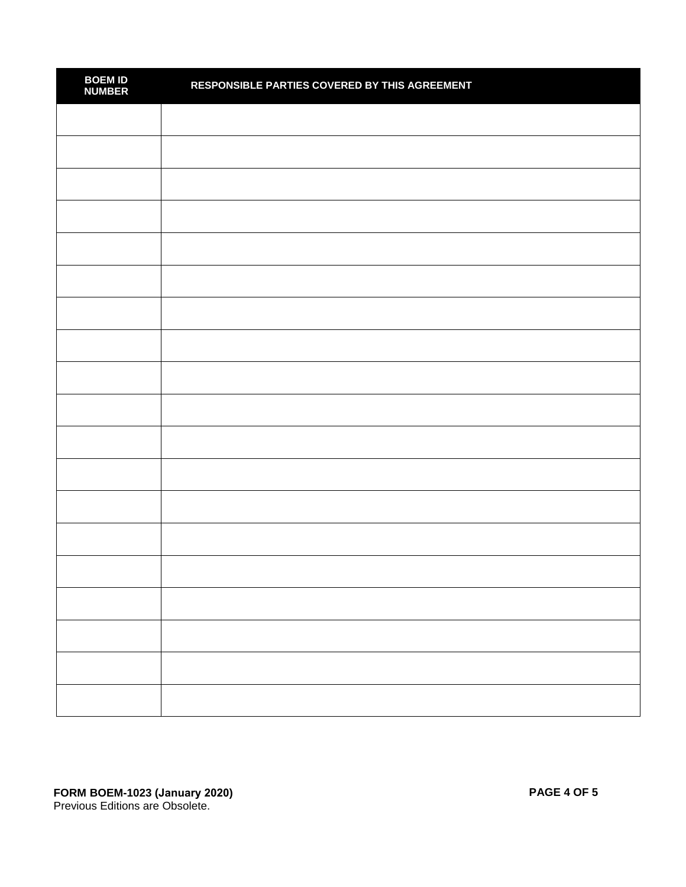| <b>BOEM ID<br/>NUMBER</b> | RESPONSIBLE PARTIES COVERED BY THIS AGREEMENT |
|---------------------------|-----------------------------------------------|
|                           |                                               |
|                           |                                               |
|                           |                                               |
|                           |                                               |
|                           |                                               |
|                           |                                               |
|                           |                                               |
|                           |                                               |
|                           |                                               |
|                           |                                               |
|                           |                                               |
|                           |                                               |
|                           |                                               |
|                           |                                               |
|                           |                                               |
|                           |                                               |
|                           |                                               |
|                           |                                               |
|                           |                                               |